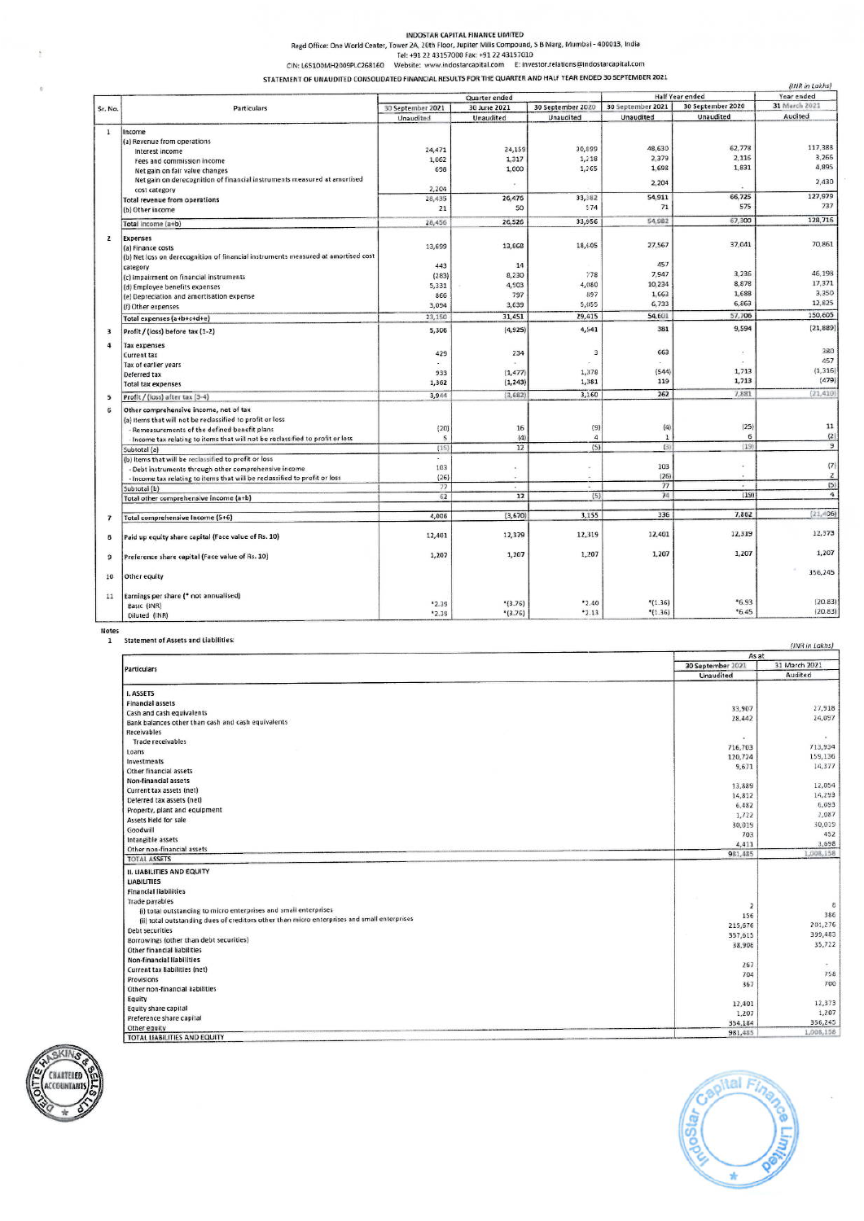INDOSTAR CAPITAL FINANCE LIMITED<br>Regd Office: One World Center, Tower 2A, 20th Floor, Jupiter Mills Compound, S B Marg, Mumbai - 400013, India<br>CIN: L65100MH2009PLC268160 Website: www.indostarcapital.com E: investor.relatio

STATEMENT OF UNAUDITED CONSOLIDATED FINANCIAL RESULTS FOR THE QUARTER AND HALF YEAR ENDED 30 SEPTEMBER 2021

|                         |                                                                                   |                   |                             |                   |                        |                          | (INR in Lakhs)       |  |
|-------------------------|-----------------------------------------------------------------------------------|-------------------|-----------------------------|-------------------|------------------------|--------------------------|----------------------|--|
|                         | Particulars                                                                       | Quarter ended     |                             |                   | <b>Half Year ended</b> |                          | Year ended           |  |
| Sr. No.                 |                                                                                   | 30 September 2021 | 30 June 2021                | 30 September 2020 | 30 September 2021      | 30 September 2020        | 31 March 2021        |  |
|                         |                                                                                   | Unaudited         | Unaudited                   | Unaudited         | Unaudited              | Unaudited                | Audited              |  |
| $\mathbf{1}$            | Income                                                                            |                   |                             |                   |                        |                          |                      |  |
|                         | (a) Revenue from operations                                                       |                   |                             |                   |                        |                          |                      |  |
|                         | Interest income                                                                   | 24,471            | 24,159                      | 30,899            | 48,630                 | 62,778                   | 117,388              |  |
|                         | Fees and commission income                                                        | 1,062             | 1,317                       | 1,218             | 2,379                  | 2,116                    | 3,266                |  |
|                         | Net gain on fair value changes                                                    | 698               | 1,000                       | 1,265             | 1,698                  | 1,831                    | 4,895                |  |
|                         | Net gain on derecognition of financial instruments measured at amortised          |                   |                             |                   |                        |                          | 2,430                |  |
|                         | cost category                                                                     | 2,204             | à.                          |                   | 2,204                  |                          |                      |  |
|                         | Total revenue from operations                                                     | 28,435            | 26,476                      | 33,382            | 54,911                 | 66,725                   | 127,979              |  |
|                         | (b) Other income                                                                  | 21                | 50                          | 574               | 71                     | 575                      | 737                  |  |
|                         |                                                                                   |                   | 26,526                      | 33,956            | 54,982                 | 67,300                   | 128,716              |  |
|                         | Total income (a+b)                                                                | 28,456            |                             |                   |                        |                          |                      |  |
| $\overline{2}$          | <b>Expenses</b>                                                                   |                   |                             |                   |                        |                          |                      |  |
|                         | (a) Finance costs                                                                 | 13,699            | 13,868                      | 18,605            | 27,567                 | 37,041                   | 70,861               |  |
|                         | (b) Net loss on derecognition of financial instruments measured at amortised cost |                   |                             |                   |                        |                          |                      |  |
|                         | category                                                                          | 443               | 14                          |                   | 457                    |                          |                      |  |
|                         | (c) Impairment on financial instruments                                           | (283)             | 8,230                       | 778               | 7,947                  | 3,236                    | 46,198               |  |
|                         | (d) Employee benefits expenses                                                    | 5,331             | 4,903                       | 4,080             | 10,234                 | 8,878                    | 17,371               |  |
|                         | (e) Depreciation and amortisation expense                                         | 866               | 797                         | 897               | 1,663                  | 1,688                    | 3,350                |  |
|                         | (f) Other expenses                                                                | 3,094             | 3,639                       | 5,055             | 6,733                  | 6,863                    | 12,825               |  |
|                         | Total expenses (a+b+c+d+e)                                                        | 23,150            | 31,451                      | 29,415            | 54,601                 | 57,706                   | 150,605              |  |
| 3                       | Profit / (loss) before tax (1-2)                                                  | 5,306             | (4,925)                     | 4,541             | 381                    | 9,594                    | (21, 889)            |  |
| 4                       | <b>Tax expenses</b>                                                               |                   |                             |                   |                        |                          |                      |  |
|                         | <b>Current tax</b>                                                                | 429               | 234                         | 3                 | 663                    | $\alpha$                 | 380                  |  |
|                         | Tax of earlier years                                                              |                   |                             |                   |                        |                          | 457                  |  |
|                         | Deferred tax                                                                      | 933               | (1, 477)                    | 1,378             | (544)                  | 1,713                    | (1, 316)             |  |
|                         | <b>Total tax expenses</b>                                                         | 1,362             | (1, 243)                    | 1,381             | 119                    | 1,713                    | (479)                |  |
| 5                       | Profit / (loss) after tax (3-4)                                                   | 3,944             | (3,682)                     | 3,160             | 262                    | 7,881                    | (21, 410)            |  |
| 6                       | Other comprehensive income, net of tax                                            |                   |                             |                   |                        |                          |                      |  |
|                         | (a) items that will not be reclassified to profit or loss                         |                   |                             |                   |                        |                          |                      |  |
|                         | - Remeasurements of the defined benefit plans                                     | (20)              | 16                          | (9)               | (4)                    | (25)                     | 11                   |  |
|                         | Income tax relating to items that will not be reclassified to profit or loss      | $\mathsf{s}$      | (4)                         | $\overline{4}$    | $\mathbf{1}$           | 6                        | (2)                  |  |
|                         | Subtotal (a)                                                                      | (15)              | 12                          | (5)               | (3)                    | (19)                     | $\overline{9}$       |  |
|                         | (b) Items that will be reclassified to profit or loss                             | ×                 |                             |                   |                        |                          |                      |  |
|                         | - Debt instruments through other comprehensive income                             | 103               | $\sim$                      |                   | 103                    | ÷                        | (7)                  |  |
|                         | - Income tax relating to items that will be reclassified to profit or loss        | (26)              | ×.                          |                   | (26)                   | $\overline{\phantom{a}}$ | $\mathbf{2}$         |  |
|                         | Subtotal (b)                                                                      | 77                | $\mathcal{L}_{\mathcal{A}}$ |                   | 77                     | $\omega$                 | (5)                  |  |
|                         | Total other comprehensive income (a+b)                                            | 62                | 12                          | (5)               | 74                     | (19)                     | $\ddot{\phantom{a}}$ |  |
|                         |                                                                                   |                   |                             |                   | 336                    | 7,862                    | (21, 406)            |  |
| $\overline{\mathbf{z}}$ | Total comprehensive Income (5+6)                                                  | 4,006             | (3,670)                     | 3,155             |                        |                          |                      |  |
| 8                       | Paid up equity share capital (Face value of Rs. 10)                               | 12,401            | 12,379                      | 12,319            | 12,401                 | 12,319                   | 12,373               |  |
| 9                       | Preference share capital (Face value of Rs. 10)                                   | 1,207             | 1,207                       | 1,207             | 1,207                  | 1,207                    | 1,207                |  |
| 10                      | Other equity                                                                      |                   |                             |                   |                        |                          | 356,245              |  |
| 11                      | Earnings per share (* not annualised)                                             |                   |                             |                   |                        |                          |                      |  |
|                         | Basic (INR)                                                                       | *2.39             | $*(3.76)$                   | 2.40              | $*(1.36)$              | $*6.93$                  | (20.83)              |  |
|                         | Diluted (INR)                                                                     | *2.39             | $*(3.76)$                   | $-2.13$           | $*(1.36)$              | *6.45                    | (20.83)              |  |
|                         |                                                                                   |                   |                             |                   |                        |                          |                      |  |

Notes<br>1 Statement of Assets and Liabilities:

|                                                                                             |                   | As at         |  |  |
|---------------------------------------------------------------------------------------------|-------------------|---------------|--|--|
| Particulars                                                                                 | 30 September 2021 | 31 March 2021 |  |  |
|                                                                                             | Unaudited         | Audited       |  |  |
| I. ASSETS                                                                                   |                   |               |  |  |
| <b>Financial assets</b>                                                                     |                   |               |  |  |
| Cash and cash equivalents                                                                   | 33,907            | 27,918        |  |  |
| Bank balances other than cash and cash equivalents                                          | 28,442            | 24,097        |  |  |
| Receivables                                                                                 |                   |               |  |  |
| <b>Trade receivables</b>                                                                    | ×                 |               |  |  |
| Loans                                                                                       | 716,703           | 713,934       |  |  |
| Investments                                                                                 | 120,724           | 159,136       |  |  |
| Other financial assets                                                                      | 9,671             | 14,377        |  |  |
| Non-financial assets                                                                        |                   |               |  |  |
| Current tax assets (net)                                                                    | 13,889            | 12,054        |  |  |
| Deferred tax assets (net)                                                                   | 14,812            | 14,293        |  |  |
| Property, plant and equipment                                                               | 6,482             | 6,093         |  |  |
| Assets Held for sale                                                                        | 1,722             | 2,087         |  |  |
| Goodwill                                                                                    | 30,019            | 30,019        |  |  |
| Intangible assets                                                                           | 703               | 452           |  |  |
| Other non-financial assets                                                                  | 4,411             | 3,698         |  |  |
| <b>TOTAL ASSETS</b>                                                                         | 981,485           | 1,008,158     |  |  |
| <b>II. LIABILITIES AND EQUITY</b>                                                           |                   |               |  |  |
| <b>LIABILITIES</b>                                                                          |                   |               |  |  |
| <b>Financial liabilities</b>                                                                |                   |               |  |  |
| <b>Trade payables</b>                                                                       |                   |               |  |  |
| (i) total outstanding to micro enterprises and small enterprises                            | $\overline{2}$    | 8             |  |  |
| (ii) total outstanding dues of creditors other than micro enterprises and small enterprises | 156               | 386           |  |  |
| Debt securities                                                                             | 215,676           | 201,276       |  |  |
| Borrowings (other than debt securities)                                                     | 357,615           | 399,483       |  |  |
| Other financial liabilities                                                                 | 38,906            | 35,722        |  |  |
| Non-financial liabilities                                                                   |                   |               |  |  |
| Current tax liabilities (net)                                                               | 267               |               |  |  |
| Provisions                                                                                  | 704               | 758           |  |  |
| Other non-financial liabilities                                                             | 367               | 700           |  |  |
| Equity                                                                                      |                   |               |  |  |
| Equity share capital                                                                        | 12,401            | 12,373        |  |  |
| Preference share capital                                                                    | 1,207             | 1,207         |  |  |
| Other equity                                                                                | 354,184           | 356,245       |  |  |
| TOTAL LIABILITIES AND EQUITY                                                                | 981,485           | 1,008,158     |  |  |





. . . . .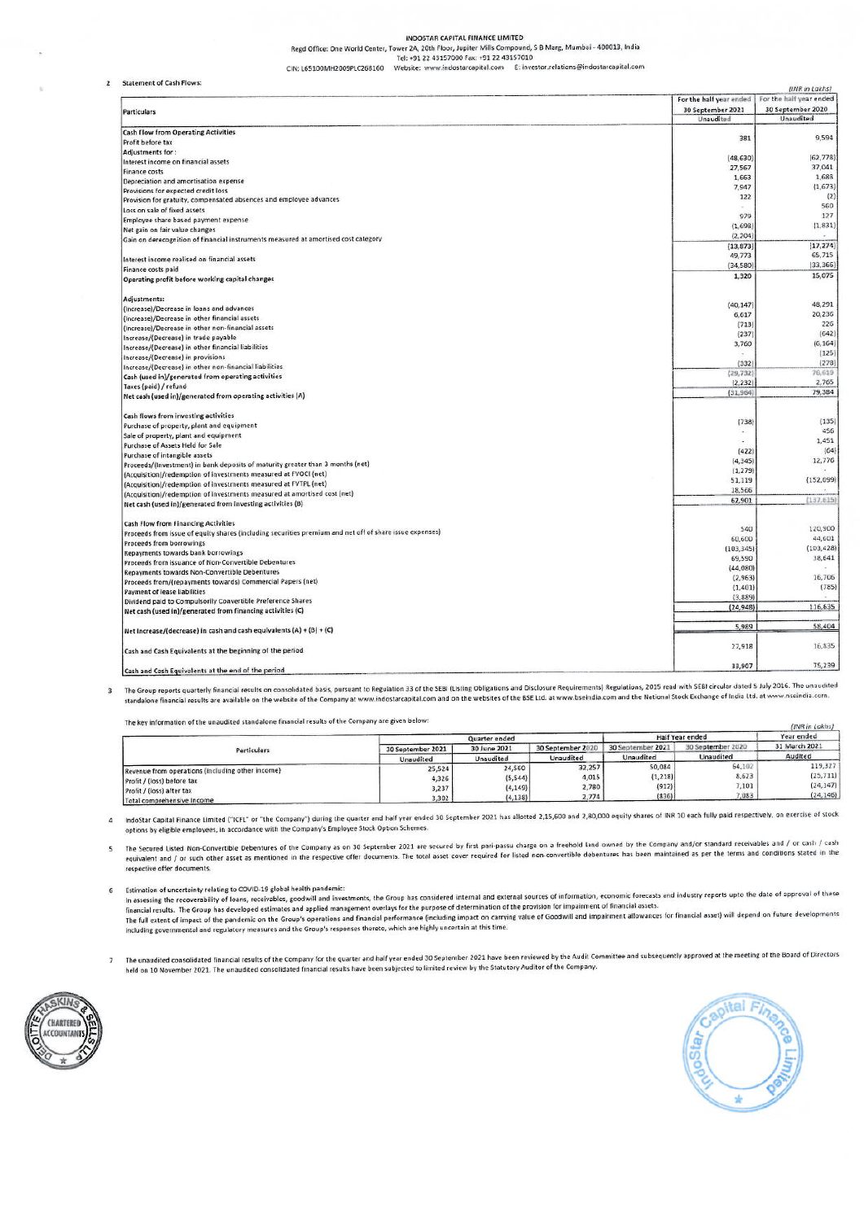INDOSTAR CAPITAL FINANCE LIMITED

Regd Office: One World Center, Tower 2A, 20th Floor, Jupiter Mills Compound, S B Marg, Mumbai - 400013, India<br>Tel: +91 22 43157000 Fax: +91 22 43157010

CIN: L65100MH2009PLC268160 Website: www.indostarcapital.com E: investor.relations@indostarcapital.com

2 Statement of Cash Flower

|                                                                                                         |                         | (INR in Lakhs)          |
|---------------------------------------------------------------------------------------------------------|-------------------------|-------------------------|
|                                                                                                         | For the half year ended | For the half year ended |
| Particulars                                                                                             | 30 September 2021       | 30 September 2020       |
|                                                                                                         | Unaudited               | Unaudited               |
| <b>Cash Flow from Operating Activities</b>                                                              |                         | 9,594                   |
| Profit before tax                                                                                       | 381                     |                         |
| Adjustments for:                                                                                        |                         |                         |
| Interest income on financial assets                                                                     | (48, 630)               | (62, 778)               |
| Finance costs                                                                                           | 27,567                  | 37,041                  |
| Depreciation and amortisation expense                                                                   | 1,663                   | 1,688                   |
| Provisions for expected credit loss                                                                     | 7,947                   | (1, 673)                |
| Provision for gratuity, compensated absences and employee advances                                      | 122                     | (2)                     |
| Loss on sale of fixed assets                                                                            | $\sim$                  | 560                     |
|                                                                                                         | 979                     | 127                     |
| Employee share based payment expense                                                                    | (1,698)                 | (1, 831)                |
| Net gain on fair value changes                                                                          | (2, 204)                |                         |
| Gain on derecognition of financial instruments measured at amortised cost category                      |                         | (17, 274)               |
|                                                                                                         | (13, 873)               |                         |
| Interest income realised on financial assets                                                            | 49,773                  | 65,715                  |
| Finance costs paid                                                                                      | (34, 580)               | (33, 366)               |
| Operating profit before working capital changes                                                         | 1,320                   | 15,075                  |
| Adjustments:                                                                                            |                         |                         |
| (Increase)/Decrease in loans and advances                                                               | (40, 147)               | 48,291                  |
|                                                                                                         | 6,617                   | 20,236                  |
| (Increase)/Decrease in other financial assets                                                           | (713)                   | 226                     |
| (Increase)/Decrease in other non-financial assets                                                       | (237)                   | (642)                   |
| Increase/(Decrease) in trade payable                                                                    | 3,760                   | (6, 164)                |
| Increase/(Decrease) in other financial liabilities                                                      |                         | (125)                   |
| Increase/(Decrease) in provisions                                                                       |                         |                         |
| Increase/(Decrease) in other non-financial liabilities                                                  | (332)                   | (278)                   |
| Cash (used in)/generated from operating activities                                                      | (29, 732)               | 76,619                  |
| Taxes (paid) / refund                                                                                   | (2, 232)                | 2,765                   |
| Net cash (used in)/generated from operating activities (A)                                              | (31, 964)               | 79,384                  |
| Cash flows from investing activities                                                                    |                         |                         |
| Purchase of property, plant and equipment                                                               | (738)                   | (135)                   |
| Sale of property, plant and equipment                                                                   |                         | 456                     |
| Purchase of Assets Held for Sale                                                                        |                         | 1,451                   |
| Purchase of intangible assets                                                                           | (422)                   | (64)                    |
|                                                                                                         | (4, 345)                | 12,776                  |
| Proceeds/(Investment) in bank deposits of maturity greater than 3 months (net)                          | (1, 279)                |                         |
| (Acquisition)/redemption of investments measured at FVOCI (net)                                         | 51,119                  | (152,099)               |
| (Acquisition)/redemption of investments measured at FVTPL (net)                                         | 18,566                  |                         |
| (Acquisition)/redemption of investments measured at amortised cost (net)                                |                         |                         |
| Net cash (used in)/generated from investing activities (B)                                              | 62,901                  | (137.615)               |
| Cash Flow from Financing Activities                                                                     |                         |                         |
| Proceeds from issue of equity shares (including securities premium and net off of share issue expenses) | 540                     | 120,900                 |
| Proceeds from borrowings                                                                                | 60,600                  | 44,601                  |
| Repayments towards bank borrowings                                                                      | (103, 345)              | (103, 428)              |
| Proceeds from issuance of Non-Convertible Debentures                                                    | 69,590                  | 38,641                  |
|                                                                                                         | (44, 080)               |                         |
| Repayments towards Non-Convertible Debentures                                                           | (2, 963)                | 16,706                  |
| Proceeds from/{repayments towards) Commercial Papers (net)                                              | (1, 401)                | (785)                   |
| <b>Payment of lease liabilities</b>                                                                     | (3, 889)                |                         |
| Dividend paid to Compulsorily Convertible Preference Shares                                             |                         |                         |
| Net cash (used in)/generated from financing activities (C)                                              | (24, 948)               | 116,635                 |
| Net Increase/(decrease) in cash and cash equivalents (A) + (B) + (C)                                    | 5,989                   | 58,404                  |
| Cash and Cash Equivalents at the beginning of the period                                                | 27,918                  | 15,835                  |
| Cash and Cash Equivalents at the end of the period                                                      | 33,907                  | 75,239                  |

3 The Group reports quarterly financial results on consolidated basis, pursuant to Regulation 33 of the SEBI (Listing Obligations and Disclosure Requirements) Regulations, 2015 read with SEBI circular dated 5 July 2016. Th

The key information of the unaudited standalone financial results of the Company are given below:

|                                                         | Quarter ended                  |                           |                                | Half Year ended                | Year ended                     |                          |
|---------------------------------------------------------|--------------------------------|---------------------------|--------------------------------|--------------------------------|--------------------------------|--------------------------|
| Particulars                                             | 30 September 2021<br>Unaudited | 30 June 2021<br>Unaudited | 30 September 2020<br>Unaudited | 30 September 2021<br>Unaudited | 30 September 2020<br>Unaudited | 31 March 2021<br>Audited |
|                                                         |                                |                           |                                |                                |                                |                          |
| Revenue from operations (including other income)        | 25,524                         | 24,560                    | 32,257                         | 50,084                         | 64,102                         | 119,327                  |
| Profit / (loss) before tax                              | 4,326                          | (5, 544)                  | 4,015                          | (1, 218)                       | 8.623                          | (25, 711)                |
|                                                         | 3,237                          | (4, 149)                  | 2,780                          | (912)                          | 7,101                          | (24, 147)                |
| Profit / (loss) after tax<br>Total comprehensive Income | 3,302                          | (4, 138)                  | 2.774                          | (836)                          | 7,083                          | (24, 146)                |

4 IndoStar Capital Finance Limited ("ICFL" or "the Company") during the quarter and half year ended 30 September 2021 has allotted 2,15,600 and 2,80,000 equity shares of INR 10 each fully paid respectively, on exercise of options by eligible employees, in accordance with the Company's Employee Stock Option Schemes.

5 The Secured Listed Non-Convertible Debentures of the Company as on 30 September 2021 are secured by first pari-passu charge on a freehold land owned by the Company and/or standard receivables and / or cash / cash<br>equival respective offer documents.

6 Estimation of uncertainty relating to COVID-19 global health pandemic:

sumauon or uncertainty reiating to COVID-19 grobal neatin parisements; the Group has considered internal and external sources of information, economic forecasts and industry reports upto the date of approval of these in as ine run extent or impact or the paintenac or the Group's responses thereto, which are highly uncertain at this time.

The unaudited consolidated financial results of the Company for the quarter and half year ended 30 September 2021 have been reviewed by the Audit Committee and subsequently approved at the meeting of the Board of Directors  $\overline{\phantom{a}}$ held on 10 November 2021. The unaudited consolidated financial results have been subjected to limited review by the Statutory Auditor of the Company.



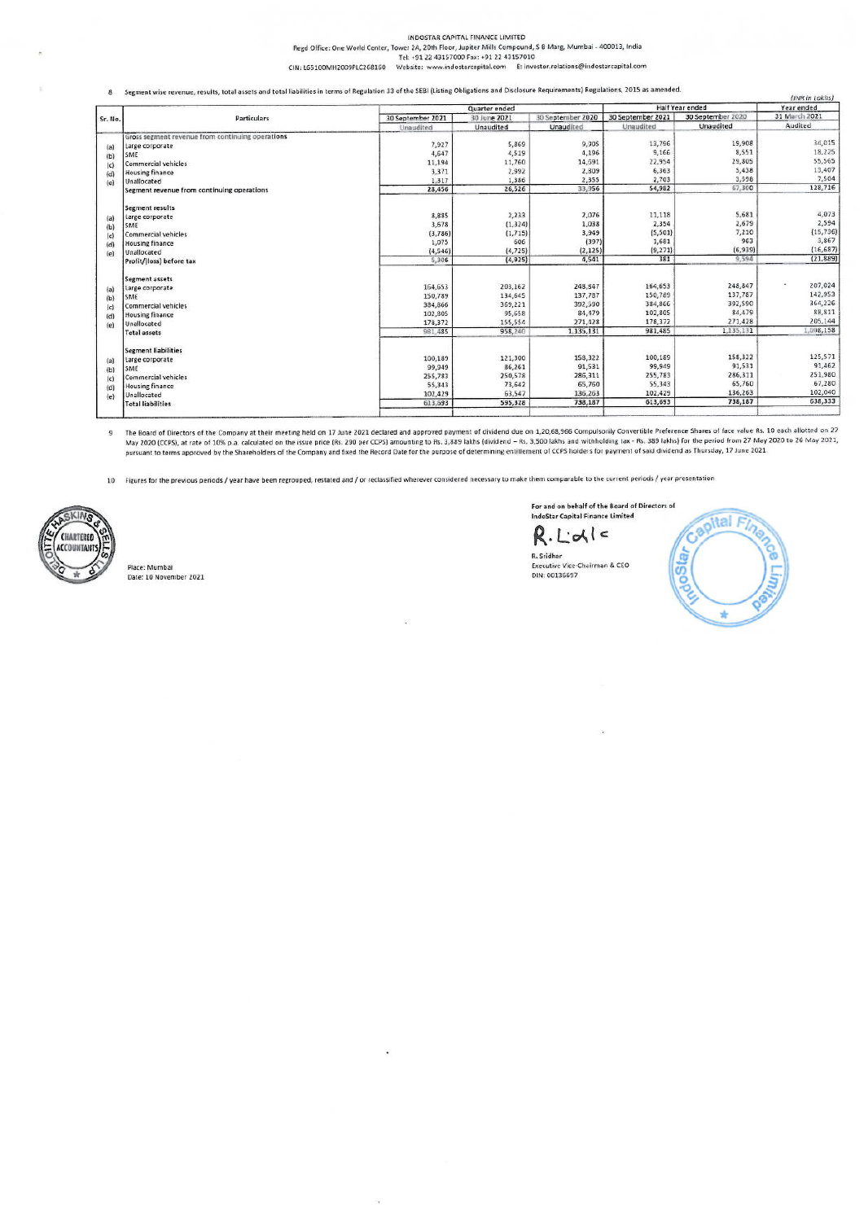#### INDOSTAR CAPITAL FINANCE LIMITED

Regd Office: One World Center, Tower 2A, 20th Floor, Jupiter Mills Compound, S 8 Marg, Mumbai - 400013, India<br>Tel: +91 22 43157000 Fax: +91 22 43157010

CIN: L65100MH2009PLC268160 Website: www.indostarcapital.com E: investor.relations@indostarcapital.com

Segment wise revenue, results, total assets and total liabilities in terms of Regulation 33 of the SEBI (Listing Obligations and Disclosure Requirements) Regulations, 2015 as amended.

|         | Particulars                                      |                   | Quarter ended |                   |                   | Half Year ended   |               |
|---------|--------------------------------------------------|-------------------|---------------|-------------------|-------------------|-------------------|---------------|
| Sr. No. |                                                  | 30 September 2021 | 30 June 2021  | 30 September 2020 | 30 September 2021 | 30 September 2020 | 31 March 2021 |
|         |                                                  | Unaudited         | Unaudited     | Unaudited         | Unaudited         | Unaudited         | Audited       |
|         | Gross segment revenue from continuing operations |                   |               |                   |                   |                   |               |
| (a)     | Large corporate                                  | 7,927             | 5,869         | 9.305             | 13,796            | 19,908            | 34,015        |
| (b)     | SME                                              | 4,647             | 4.519         | 4,196             | 9.166             | 8,551             | 18,225        |
| (c)     | <b>Commercial vehicles</b>                       | 11,194            | 11,760        | 14,591            | 22,954            | 29,805            | 55,565        |
| (d)     | <b>Housing finance</b>                           | 3,371             | 2,992         | 2,309             | 6,363             | 5,438             | 13,407        |
| (e)     | Unallocated                                      | 1,317             | 1,386         | 2,355             | 2,703             | 3,598             | 7,504         |
|         | Segment revenue from continuing operations       | 28,456            | 26,526        | 33,956            | 54,982            | 67,300            | 128,716       |
|         | <b>Segment results</b>                           |                   |               |                   |                   |                   |               |
| (a)     | Large corporate                                  | 8,885             | 2,233         | 2,076             | 11,118            | 5,681             | 4,073         |
| (b)     | SME                                              | 3,678             | (1, 324)      | 1,038             | 2,354             | 2,679             | 2,594         |
| (c)     | Commercial vehicles                              | (3,786)           | (1, 715)      | 3,949             | (5, 501)          | 7,210             | (15, 736)     |
| (d)     | <b>Housing finance</b>                           | 1,075             | 606           | (397)             | 1,681             | 963               | 3,867         |
| (e)     | Unallocated                                      | (4, 546)          | (4, 725)      | (2, 125)          | (9,271)           | (6, 939)          | (16, 687)     |
|         | Profit/(loss) before tax                         | 5,306             | (4, 925)      | 4,541             | 381               | 9,594             | (21, 889)     |
|         | Segment assets                                   |                   |               |                   |                   |                   |               |
| (a)     | Large corporate                                  | 164,653           | 203,162       | 248, 347          | 164,653           | 248,847           | 207,024<br>٠  |
| (b)     | SME                                              | 150,789           | 134,645       | 137,787           | 150,789           | 137,787           | 142,953       |
| (c)     | Commercial vehicles                              | 384,866           | 369,221       | 392,590           | 384,866           | 392,590           | 364,226       |
| (d)     | <b>Housing finance</b>                           | 102,805           | 95,658        | 84, 179           | 102,805           | 84,479            | 88,811        |
| (e)     | Unallocated                                      | 178,372           | 155,554       | 271,428           | 178,372           | 271,428           | 205,144       |
|         | <b>Total assets</b>                              | 981.485           | 958,240       | 1,135,131         | 981,485           | 1,135,131         | 1,008,158     |
|         | <b>Segment liabilities</b>                       |                   |               |                   |                   |                   |               |
| (a)     | Large corporate                                  | 100,189           | 121,300       | 158,322           | 100,189           | 158,322           | 125,571       |
| (b)     | SME                                              | 99,949            | 86,261        | 91,531            | 99,949            | 91,531            | 91,462        |
| (c)     | Commercial vehicles                              | 255,783           | 250,578       | 286,311           | 255,783           | 286,311           | 251,980       |
| (d)     | <b>Housing finance</b>                           | 55,343            | 73,642        | 65,760            | 55,343            | 65,760            | 67,280        |
| (e)     | Unallocated                                      | 102,429           | 63,547        | 136,263           | 102,429           | 136,263           | 102,040       |
|         | <b>Total liabilities</b>                         | 613,693           | 595,328       | 738,187           | 613,693           | 738,187           | 638,333       |
|         |                                                  |                   |               |                   |                   |                   |               |

The Board of Directors of the Company at their meeting held on 17 June 2021 declared and approved payment of dividend due on 1,20,68,966 Compulsorily Convertible Preference Shares of face value Rs. 10 each allotted on 27<br>M  $\overline{9}$ 

10 Figures for the previous periods / year have been regrouped, restated and / or reclassified wherever considered necessary to make them comparable to the current periods / year presentation



Place: Mumbai Date: 10 November 2021 For and on behalf of the Board of Directors of<br>IndoStar Capital Finance Limited

R. Lidle R. Sridhar Executive Vice-Chairman & CEO<br>DIN: 00136697



train in Labbell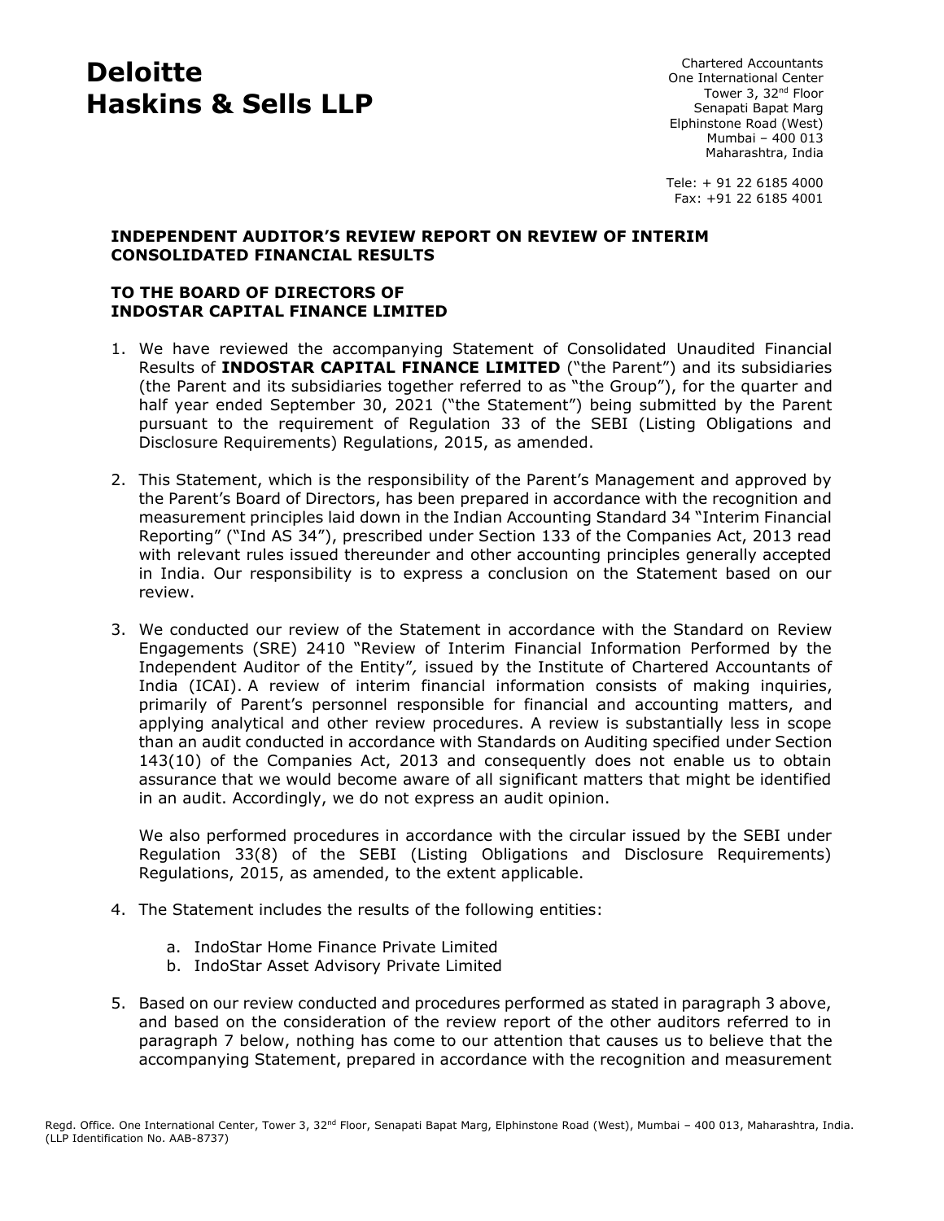# **Deloitte Haskins & Sells LLP**

Chartered Accountants One International Center Tower 3, 32<sup>nd</sup> Floor Senapati Bapat Marg Elphinstone Road (West) Mumbai – 400 013 Maharashtra, India

Tele: + 91 22 6185 4000 Fax: +91 22 6185 4001

#### **INDEPENDENT AUDITOR'S REVIEW REPORT ON REVIEW OF INTERIM CONSOLIDATED FINANCIAL RESULTS**

### **TO THE BOARD OF DIRECTORS OF INDOSTAR CAPITAL FINANCE LIMITED**

- 1. We have reviewed the accompanying Statement of Consolidated Unaudited Financial Results of **INDOSTAR CAPITAL FINANCE LIMITED** ("the Parent") and its subsidiaries (the Parent and its subsidiaries together referred to as "the Group"), for the quarter and half year ended September 30, 2021 ("the Statement") being submitted by the Parent pursuant to the requirement of Regulation 33 of the SEBI (Listing Obligations and Disclosure Requirements) Regulations, 2015, as amended.
- 2. This Statement, which is the responsibility of the Parent's Management and approved by the Parent's Board of Directors, has been prepared in accordance with the recognition and measurement principles laid down in the Indian Accounting Standard 34 "Interim Financial Reporting" ("Ind AS 34"), prescribed under Section 133 of the Companies Act, 2013 read with relevant rules issued thereunder and other accounting principles generally accepted in India. Our responsibility is to express a conclusion on the Statement based on our review.
- 3. We conducted our review of the Statement in accordance with the Standard on Review Engagements (SRE) 2410 "Review of Interim Financial Information Performed by the Independent Auditor of the Entity"*,* issued by the Institute of Chartered Accountants of India (ICAI). A review of interim financial information consists of making inquiries, primarily of Parent's personnel responsible for financial and accounting matters, and applying analytical and other review procedures. A review is substantially less in scope than an audit conducted in accordance with Standards on Auditing specified under Section 143(10) of the Companies Act, 2013 and consequently does not enable us to obtain assurance that we would become aware of all significant matters that might be identified in an audit. Accordingly, we do not express an audit opinion.

We also performed procedures in accordance with the circular issued by the SEBI under Regulation 33(8) of the SEBI (Listing Obligations and Disclosure Requirements) Regulations, 2015, as amended, to the extent applicable.

- 4. The Statement includes the results of the following entities:
	- a. IndoStar Home Finance Private Limited
	- b. IndoStar Asset Advisory Private Limited
- 5. Based on our review conducted and procedures performed as stated in paragraph 3 above, and based on the consideration of the review report of the other auditors referred to in paragraph 7 below, nothing has come to our attention that causes us to believe that the accompanying Statement, prepared in accordance with the recognition and measurement